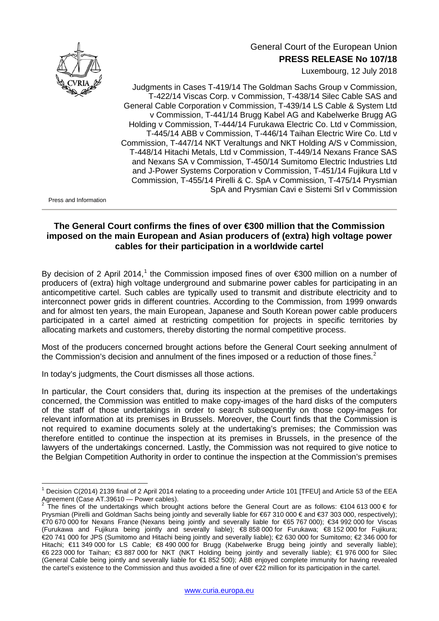

## General Court of the European Union **PRESS RELEASE No 107/18**

Luxembourg, 12 July 2018

Judgments in Cases T-419/14 The Goldman Sachs Group v Commission, T-422/14 Viscas Corp. v Commission, T-438/14 Silec Cable SAS and General Cable Corporation v Commission, T-439/14 LS Cable & System Ltd v Commission, T-441/14 Brugg Kabel AG and Kabelwerke Brugg AG Holding v Commission, T-444/14 Furukawa Electric Co. Ltd v Commission, T-445/14 ABB v Commission, T-446/14 Taihan Electric Wire Co. Ltd v Commission, T-447/14 NKT Veraltungs and NKT Holding A/S v Commission, T-448/14 Hitachi Metals, Ltd v Commission, T-449/14 Nexans France SAS and Nexans SA v Commission, T-450/14 Sumitomo Electric Industries Ltd and J-Power Systems Corporation v Commission, T-451/14 Fujikura Ltd v Commission, T-455/14 Pirelli & C. SpA v Commission, T-475/14 Prysmian SpA and Prysmian Cavi e Sistemi Srl v Commission

Press and Information

## **The General Court confirms the fines of over €300 million that the Commission imposed on the main European and Asian producers of (extra) high voltage power cables for their participation in a worldwide cartel**

By decision of 2 April 20[1](#page-0-0)4,<sup>1</sup> the Commission imposed fines of over  $\epsilon$ 300 million on a number of producers of (extra) high voltage underground and submarine power cables for participating in an anticompetitive cartel. Such cables are typically used to transmit and distribute electricity and to interconnect power grids in different countries. According to the Commission, from 1999 onwards and for almost ten years, the main European, Japanese and South Korean power cable producers participated in a cartel aimed at restricting competition for projects in specific territories by allocating markets and customers, thereby distorting the normal competitive process.

Most of the producers concerned brought actions before the General Court seeking annulment of the Commission's decision and annulment of the fines imposed or a reduction of those fines. $2$ 

In today's judgments, the Court dismisses all those actions.

In particular, the Court considers that, during its inspection at the premises of the undertakings concerned, the Commission was entitled to make copy-images of the hard disks of the computers of the staff of those undertakings in order to search subsequently on those copy-images for relevant information at its premises in Brussels. Moreover, the Court finds that the Commission is not required to examine documents solely at the undertaking's premises; the Commission was therefore entitled to continue the inspection at its premises in Brussels, in the presence of the lawyers of the undertakings concerned. Lastly, the Commission was not required to give notice to the Belgian Competition Authority in order to continue the inspection at the Commission's premises

<span id="page-0-0"></span><sup>&</sup>lt;sup>1</sup> Decision C(2014) 2139 final of 2 April 2014 relating to a proceeding under Article 101 [TFEU] and Article 53 of the EEA<br>Agreement (Case AT.39610 — Power cables).

<span id="page-0-1"></span>The fines of the undertakings which brought actions before the General Court are as follows:  $€104 613 000  $\epsilon$  for$ Prysmian (Pirelli and Goldman Sachs being jointly and severally liable for €67 310 000 € and €37 303 000, respectively); €70 670 000 for Nexans France (Nexans being jointly and severally liable for €65 767 000); €34 992 000 for Viscas (Furukawa and Fujikura being jointly and severally liable); €8 858 000 for Furukawa; €8 152 000 for Fujikura; €20 741 000 for JPS (Sumitomo and Hitachi being jointly and severally liable); €2 630 000 for Sumitomo; €2 346 000 for Hitachi; €11 349 000 for LS Cable; €8 490 000 for Brugg (Kabelwerke Brugg being jointly and severally liable); €6 223 000 for Taihan; €3 887 000 for NKT (NKT Holding being jointly and severally liable); €1 976 000 for Silec (General Cable being jointly and severally liable for €1 852 500); ABB enjoyed complete immunity for having revealed the cartel's existence to the Commission and thus avoided a fine of over €22 million for its participation in the cartel.